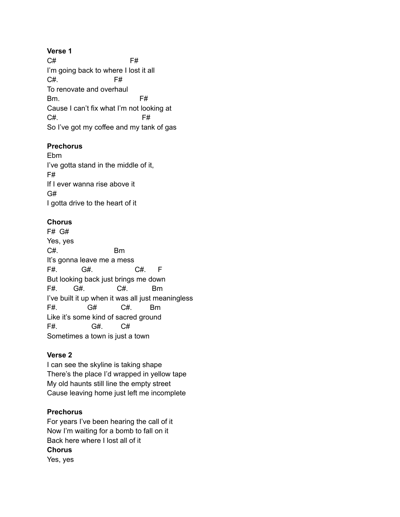**Verse 1** C# F# I'm going back to where I lost it all C#. F# To renovate and overhaul Bm. F# Cause I can't fix what I'm not looking at C#. F# So I've got my coffee and my tank of gas

# **Prechorus**

Ebm I've gotta stand in the middle of it, F# If I ever wanna rise above it G# I gotta drive to the heart of it

# **Chorus**

F# G# Yes, yes C#. Bm It's gonna leave me a mess F#. G#. C#. F But looking back just brings me down F#. G#. C#. Bm I've built it up when it was all just meaningless F#. G# C#. Bm Like it's some kind of sacred ground F#. G#. C# Sometimes a town is just a town

# **Verse 2**

I can see the skyline is taking shape There's the place I'd wrapped in yellow tape My old haunts still line the empty street Cause leaving home just left me incomplete

# **Prechorus**

For years I've been hearing the call of it Now I'm waiting for a bomb to fall on it Back here where I lost all of it **Chorus** Yes, yes